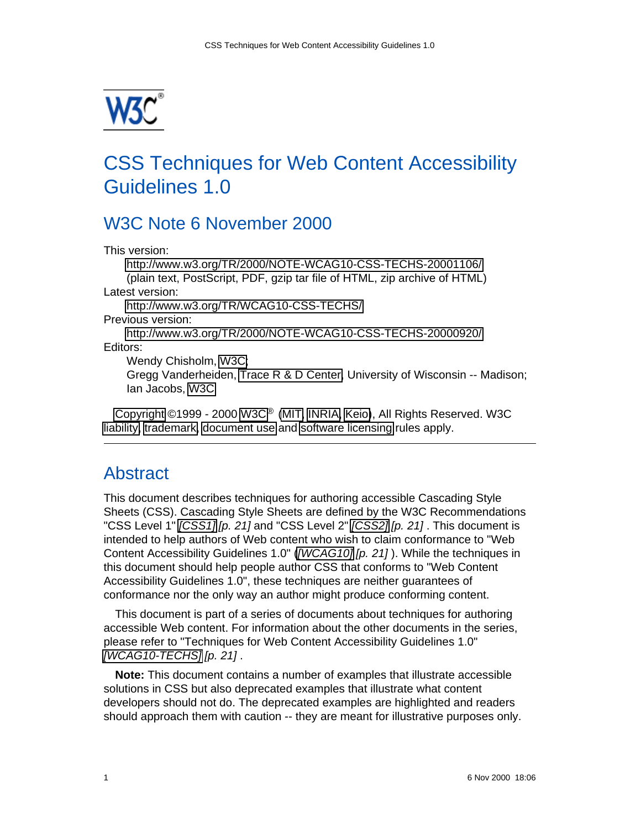

# CSS Techniques for Web Content Accessibility Guidelines 1.0

# W3C Note 6 November 2000

This version:

<http://www.w3.org/TR/2000/NOTE-WCAG10-CSS-TECHS-20001106/> (plain text, PostScript, PDF, gzip tar file of HTML, zip archive of HTML) Latest version: <http://www.w3.org/TR/WCAG10-CSS-TECHS/>

Previous version:

<http://www.w3.org/TR/2000/NOTE-WCAG10-CSS-TECHS-20000920/> Editors:

Wendy Chisholm, [W3C;](http://www.w3.org/)

Gregg Vanderheiden, [Trace R & D Center,](http://www.tracecenter.org/) University of Wisconsin -- Madison; Ian Jacobs, [W3C](http://www.w3.org/)

[Copyright](http://www.w3.org/Consortium/Legal/ipr-notice#Copyright) ©1999 - 2000 [W3C](http://www.w3.org/)® [\(MIT,](http://www.lcs.mit.edu/) [INRIA,](http://www.inria.fr/) [Keio\)](http://www.keio.ac.jp/), All Rights Reserved. W3C [liability,](http://www.w3.org/Consortium/Legal/ipr-notice#Legal_Disclaimer) [trademark,](http://www.w3.org/Consortium/Legal/ipr-notice#W3C_Trademarks) [document use](http://www.w3.org/Consortium/Legal/copyright-documents-19990405) and [software licensing](http://www.w3.org/Consortium/Legal/copyright-software-19980720) rules apply.

## <span id="page-0-0"></span>**Abstract**

This document describes techniques for authoring accessible Cascading Style Sheets (CSS). Cascading Style Sheets are defined by the W3C Recommendations "CSS Level 1" [\[CSS1\]](#page-20-3) [p. 21] and "CSS Level 2" [\[CSS2\]](#page-20-2) [p. 21]. This document is intended to help authors of Web content who wish to claim conformance to "Web Content Accessibility Guidelines 1.0" ([\[WCAG10\]](#page-20-1) [p. 21]). While the techniques in this document should help people author CSS that conforms to "Web Content Accessibility Guidelines 1.0", these techniques are neither guarantees of conformance nor the only way an author might produce conforming content.

This document is part of a series of documents about techniques for authoring accessible Web content. For information about the other documents in the series, please refer to "Techniques for Web Content Accessibility Guidelines 1.0" [\[WCAG10-TECHS\]](#page-20-0) [p. 21].

**Note:** This document contains a number of examples that illustrate accessible solutions in CSS but also deprecated examples that illustrate what content developers should not do. The deprecated examples are highlighted and readers should approach them with caution -- they are meant for illustrative purposes only.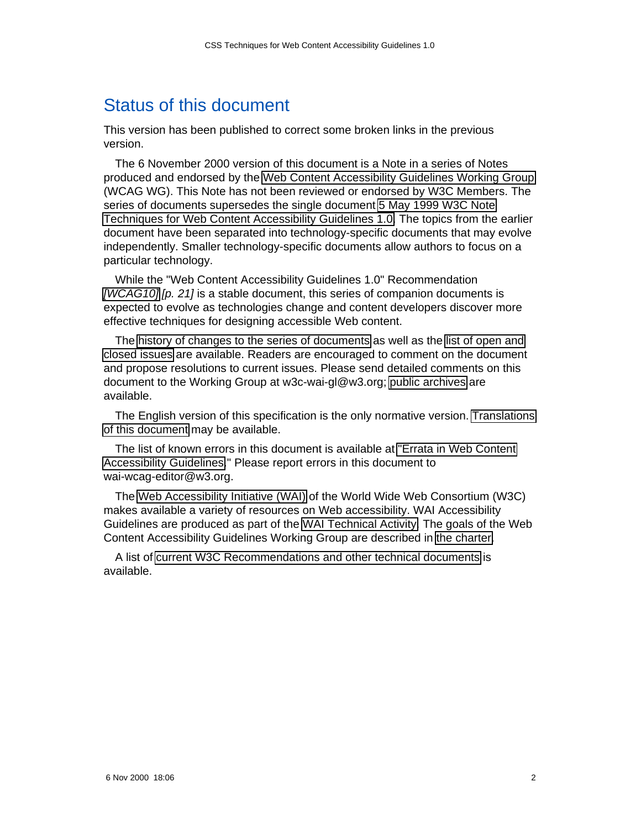## <span id="page-1-0"></span>Status of this document

This version has been published to correct some broken links in the previous version.

The 6 November 2000 version of this document is a Note in a series of Notes produced and endorsed by the [Web Content Accessibility Guidelines Working Group](http://www.w3.org/WAI/GL/) (WCAG WG). This Note has not been reviewed or endorsed by W3C Members. The series of documents supersedes the single document [5 May 1999 W3C Note](http://www.w3.org/TR/1999/WAI-WEBCONTENT-TECHS-19990505/) [Techniques for Web Content Accessibility Guidelines 1.0.](http://www.w3.org/TR/1999/WAI-WEBCONTENT-TECHS-19990505/) The topics from the earlier document have been separated into technology-specific documents that may evolve independently. Smaller technology-specific documents allow authors to focus on a particular technology.

While the "Web Content Accessibility Guidelines 1.0" Recommendation [\[WCAG10\]](#page-20-1) [p. 21] is a stable document, this series of companion documents is expected to evolve as technologies change and content developers discover more effective techniques for designing accessible Web content.

The [history of changes to the series of documents](http://www.w3.org/WAI/GL/wai-gl-techniques-changes.html) as well as the [list of open and](http://www.w3.org/WAI/GL/wai-gl-tech-issues.html) [closed issues](http://www.w3.org/WAI/GL/wai-gl-tech-issues.html) are available. Readers are encouraged to comment on the document and propose resolutions to current issues. Please send detailed comments on this document to the Working Group at w3c-wai-gl@w3.org; [public archives](http://lists.w3.org/Archives/Public/w3c-wai-gl/) are available.

The English version of this specification is the only normative version. [Translations](http://www.w3.org/WAI/GL/WAI-WEBCONTENT-TRANSLATIONS) [of this document](http://www.w3.org/WAI/GL/WAI-WEBCONTENT-TRANSLATIONS) may be available.

The list of known errors in this document is available at ["Errata in Web Content](http://www.w3.org/WAI/GL/WAI-WEBCONTENT-ERRATA) [Accessibility Guidelines.](http://www.w3.org/WAI/GL/WAI-WEBCONTENT-ERRATA)" Please report errors in this document to wai-wcag-editor@w3.org.

The [Web Accessibility Initiative \(WAI\)](http://www.w3.org/WAI/) of the World Wide Web Consortium (W3C) makes available a variety of resources on Web accessibility. WAI Accessibility Guidelines are produced as part of the [WAI Technical Activity.](http://www.w3.org/WAI/Technical/Activity) The goals of the Web Content Accessibility Guidelines Working Group are described in [the charter.](http://www.w3.org/WAI/GL/new-charter-2000.html)

A list of [current W3C Recommendations and other technical documents](http://www.w3.org/TR/) is available.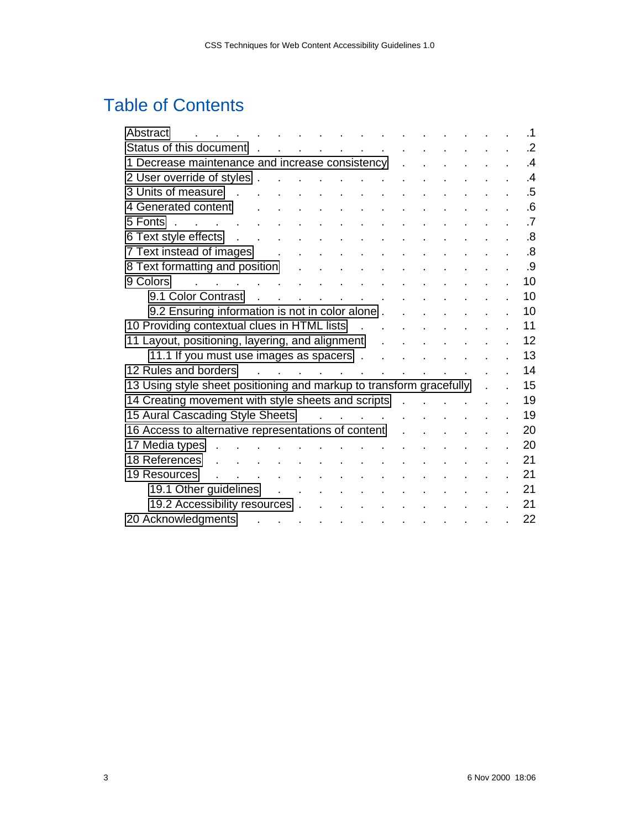# Table of Contents

| Abstract                                                                                                       |                                                     |                            |                           |                                     |                                   |                                              |                             |               |                           |              |  |  |               | $\cdot$ 1 |
|----------------------------------------------------------------------------------------------------------------|-----------------------------------------------------|----------------------------|---------------------------|-------------------------------------|-----------------------------------|----------------------------------------------|-----------------------------|---------------|---------------------------|--------------|--|--|---------------|-----------|
| Status of this document .                                                                                      |                                                     |                            |                           |                                     |                                   |                                              |                             |               |                           |              |  |  |               | .2        |
| 1 Decrease maintenance and increase consistency                                                                |                                                     |                            |                           |                                     |                                   |                                              |                             |               |                           |              |  |  | $\mathcal{A}$ |           |
| 2 User override of styles.                                                                                     |                                                     |                            |                           |                                     | and the company of the company of |                                              |                             |               |                           |              |  |  |               | .4        |
| 3 Units of measure<br>$\sim$ 10 $\pm$<br>$\sim$                                                                |                                                     |                            |                           | and the contract of the contract of | $\sim 100$                        |                                              | $\mathcal{L}$<br>$\sim 100$ |               | $\mathbf{r}$              |              |  |  |               | .5        |
| 4 Generated content                                                                                            | ÷.                                                  | $\mathcal{L}^{\text{max}}$ | $\mathbf{r}$              |                                     |                                   |                                              |                             |               |                           |              |  |  |               | .6        |
| 5 Fonts                                                                                                        |                                                     |                            |                           |                                     |                                   |                                              |                             |               |                           |              |  |  |               | $\cdot$ 7 |
| 6 Text style effects                                                                                           |                                                     |                            |                           |                                     | and the state of the state of     | $\sim 10$                                    |                             |               |                           |              |  |  |               | .8        |
| 7 Text instead of images and a series of the series of the series of the series of the series of the series of |                                                     |                            |                           |                                     |                                   | $\sim 10$                                    | $\sim 10$                   |               |                           |              |  |  |               | .8        |
| 8 Text formatting and position                                                                                 |                                                     |                            | $\mathbf{r} = \mathbf{r}$ | $\mathcal{L}$                       | ä,                                |                                              | t,                          | $\sim$        |                           |              |  |  |               | .9        |
| 9 Colors<br>and the company of the company                                                                     |                                                     |                            |                           |                                     |                                   |                                              |                             |               |                           |              |  |  |               | 10        |
| 9.1 Color Contrast                                                                                             |                                                     |                            |                           |                                     |                                   |                                              |                             |               |                           |              |  |  |               | 10        |
| 9.2 Ensuring information is not in color alone.                                                                |                                                     |                            |                           |                                     |                                   |                                              |                             |               |                           |              |  |  |               | 10        |
| 10 Providing contextual clues in HTML lists                                                                    |                                                     |                            |                           |                                     |                                   |                                              |                             |               | L.                        |              |  |  |               | 11        |
| 11 Layout, positioning, layering, and alignment                                                                |                                                     |                            |                           |                                     |                                   |                                              | $\mathbf{L} = \mathbf{L}$   |               |                           | t.           |  |  |               | 12        |
| 11.1 If you must use images as spacers                                                                         |                                                     |                            |                           |                                     |                                   |                                              |                             |               |                           |              |  |  |               | 13        |
| 12 Rules and borders                                                                                           | the contract of the contract of the contract of the |                            |                           |                                     |                                   |                                              |                             |               |                           |              |  |  |               | 14        |
| 13 Using style sheet positioning and markup to transform gracefully                                            |                                                     |                            |                           |                                     |                                   |                                              |                             |               |                           |              |  |  |               | 15        |
| 14 Creating movement with style sheets and scripts .                                                           |                                                     |                            |                           |                                     |                                   |                                              |                             | $\sim 10$     | $\sim 10$                 |              |  |  |               | 19        |
|                                                                                                                |                                                     |                            |                           |                                     |                                   |                                              |                             |               |                           |              |  |  |               | 19        |
| 16 Access to alternative representations of content                                                            |                                                     |                            |                           |                                     |                                   |                                              |                             |               |                           |              |  |  |               | 20        |
| 17 Media types.                                                                                                | and a straightful control of the                    |                            |                           |                                     |                                   |                                              |                             |               |                           |              |  |  |               | 20        |
| 18 References                                                                                                  | t.                                                  |                            |                           | $\mathbf{r}$                        | $\mathbf{r} = \mathbf{r}$         | $\sim 10$                                    |                             |               |                           |              |  |  |               | 21        |
| 19 Resources<br>and a state                                                                                    |                                                     |                            |                           |                                     | and a strong control of the       |                                              |                             |               |                           |              |  |  |               | 21        |
| 19.1 Other guidelines                                                                                          |                                                     |                            |                           |                                     |                                   |                                              |                             |               | $\mathbf{r} = \mathbf{r}$ |              |  |  |               | 21        |
| 19.2 Accessibility resources                                                                                   |                                                     |                            |                           |                                     |                                   | and the control of                           | $\mathbf{r}$<br>$\sim 10$   |               | <b>Contractor</b>         |              |  |  |               | 21        |
| 20 Acknowledgments                                                                                             |                                                     |                            |                           |                                     |                                   | $\mathbf{r} = \mathbf{r} \cdot \mathbf{r}$ . | $\mathbf{r}$                | $\sim$ $\sim$ | $\mathbf{r}^{\prime}$     | $\mathbf{r}$ |  |  |               | 22        |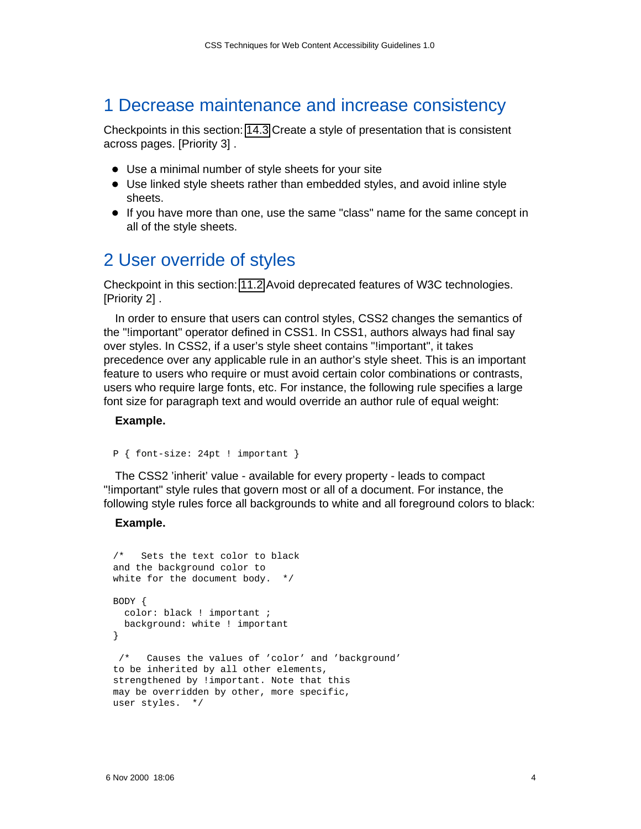### <span id="page-3-1"></span>1 Decrease maintenance and increase consistency

Checkpoints in this section: [14.3](http://www.w3.org/TR/WCAG10-TECHS/#tech-consistent-style) Create a style of presentation that is consistent across pages. [Priority 3] .

- Use a minimal number of style sheets for your site
- Use linked style sheets rather than embedded styles, and avoid inline style sheets.
- If you have more than one, use the same "class" name for the same concept in all of the style sheets.

## <span id="page-3-0"></span>2 User override of styles

Checkpoint in this section: [11.2](http://www.w3.org/TR/WCAG10-TECHS/#tech-avoid-deprecated) Avoid deprecated features of W3C technologies. [Priority 2] .

In order to ensure that users can control styles, CSS2 changes the semantics of the "!important" operator defined in CSS1. In CSS1, authors always had final say over styles. In CSS2, if a user's style sheet contains "!important", it takes precedence over any applicable rule in an author's style sheet. This is an important feature to users who require or must avoid certain color combinations or contrasts, users who require large fonts, etc. For instance, the following rule specifies a large font size for paragraph text and would override an author rule of equal weight:

#### **Example.**

```
P { font-size: 24pt ! important }
```
The CSS2 'inherit' value - available for every property - leads to compact "!important" style rules that govern most or all of a document. For instance, the following style rules force all backgrounds to white and all foreground colors to black:

#### **Example.**

```
/* Sets the text color to black 
and the background color to 
white for the document body. */
BODY { 
  color: black ! important ; 
  background: white ! important 
}
 /* Causes the values of 'color' and 'background' 
to be inherited by all other elements, 
strengthened by !important. Note that this 
may be overridden by other, more specific, 
user styles. */
```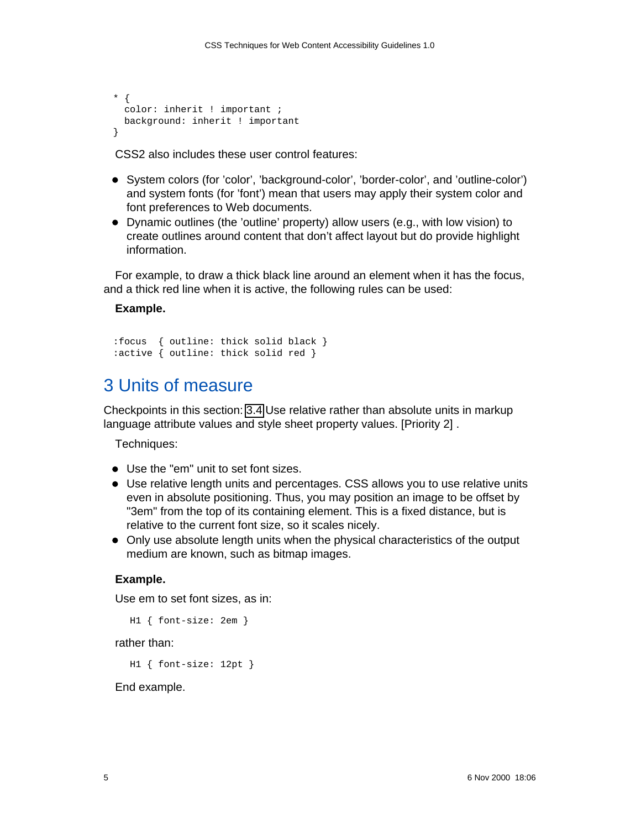```
* { 
   color: inherit ! important ; 
  background: inherit ! important 
}
```
CSS2 also includes these user control features:

- System colors (for 'color', 'background-color', 'border-color', and 'outline-color') and system fonts (for 'font') mean that users may apply their system color and font preferences to Web documents.
- Dynamic outlines (the 'outline' property) allow users (e.g., with low vision) to create outlines around content that don't affect layout but do provide highlight information.

For example, to draw a thick black line around an element when it has the focus, and a thick red line when it is active, the following rules can be used:

#### **Example.**

```
:focus { outline: thick solid black } 
:active { outline: thick solid red }
```
## <span id="page-4-0"></span>3 Units of measure

Checkpoints in this section: [3.4](http://www.w3.org/TR/WCAG10-TECHS/#tech-relative-units) Use relative rather than absolute units in markup language attribute values and style sheet property values. [Priority 2] .

Techniques:

- Use the "em" unit to set font sizes.
- Use relative length units and percentages. CSS allows you to use relative units even in absolute positioning. Thus, you may position an image to be offset by "3em" from the top of its containing element. This is a fixed distance, but is relative to the current font size, so it scales nicely.
- Only use absolute length units when the physical characteristics of the output medium are known, such as bitmap images.

#### **Example.**

Use em to set font sizes, as in:

H1 { font-size: 2em }

rather than:

H1 { font-size: 12pt }

End example.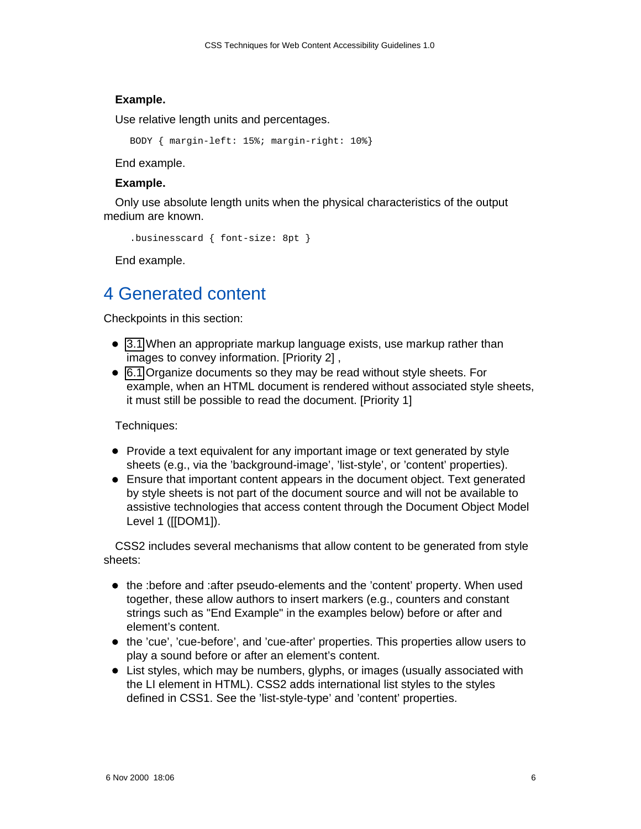#### **Example.**

Use relative length units and percentages.

BODY { margin-left: 15%; margin-right: 10%}

End example.

#### **Example.**

Only use absolute length units when the physical characteristics of the output medium are known.

```
 .businesscard { font-size: 8pt }
```
End example.

### <span id="page-5-0"></span>4 Generated content

Checkpoints in this section:

- [3.1](http://www.w3.org/TR/WCAG10-TECHS/#tech-use-markup) When an appropriate markup language exists, use markup rather than images to convey information. [Priority 2] ,
- [6.1](http://www.w3.org/TR/WCAG10-TECHS/#tech-order-style-sheets) Organize documents so they may be read without style sheets. For example, when an HTML document is rendered without associated style sheets, it must still be possible to read the document. [Priority 1]

Techniques:

- Provide a text equivalent for any important image or text generated by style sheets (e.g., via the 'background-image', 'list-style', or 'content' properties).
- Ensure that important content appears in the document object. Text generated by style sheets is not part of the document source and will not be available to assistive technologies that access content through the Document Object Model Level 1 ([[DOM1]).

CSS2 includes several mechanisms that allow content to be generated from style sheets:

- the :before and :after pseudo-elements and the 'content' property. When used together, these allow authors to insert markers (e.g., counters and constant strings such as "End Example" in the examples below) before or after and element's content.
- the 'cue', 'cue-before', and 'cue-after' properties. This properties allow users to play a sound before or after an element's content.
- List styles, which may be numbers, glyphs, or images (usually associated with the LI element in HTML). CSS2 adds international list styles to the styles defined in CSS1. See the 'list-style-type' and 'content' properties.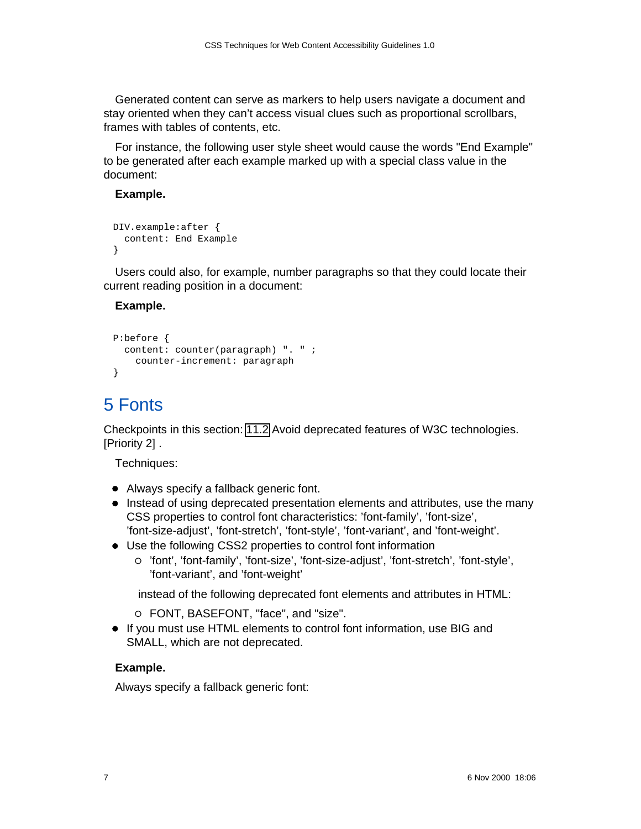Generated content can serve as markers to help users navigate a document and stay oriented when they can't access visual clues such as proportional scrollbars, frames with tables of contents, etc.

For instance, the following user style sheet would cause the words "End Example" to be generated after each example marked up with a special class value in the document:

#### **Example.**

```
DIV.example:after { 
   content: End Example 
}
```
Users could also, for example, number paragraphs so that they could locate their current reading position in a document:

### **Example.**

```
P:before { 
   content: counter(paragraph) ". " ;
     counter-increment: paragraph 
}
```
# <span id="page-6-0"></span>5 Fonts

Checkpoints in this section: [11.2](http://www.w3.org/TR/WCAG10-TECHS/#tech-avoid-deprecated) Avoid deprecated features of W3C technologies. [Priority 2] .

Techniques:

- Always specify a fallback generic font.
- Instead of using deprecated presentation elements and attributes, use the many CSS properties to control font characteristics: 'font-family', 'font-size', 'font-size-adjust', 'font-stretch', 'font-style', 'font-variant', and 'font-weight'.
- Use the following CSS2 properties to control font information
	- 'font', 'font-family', 'font-size', 'font-size-adjust', 'font-stretch', 'font-style', 'font-variant', and 'font-weight'

instead of the following deprecated font elements and attributes in HTML:

- FONT, BASEFONT, "face", and "size".
- If you must use HTML elements to control font information, use BIG and SMALL, which are not deprecated.

### **Example.**

Always specify a fallback generic font: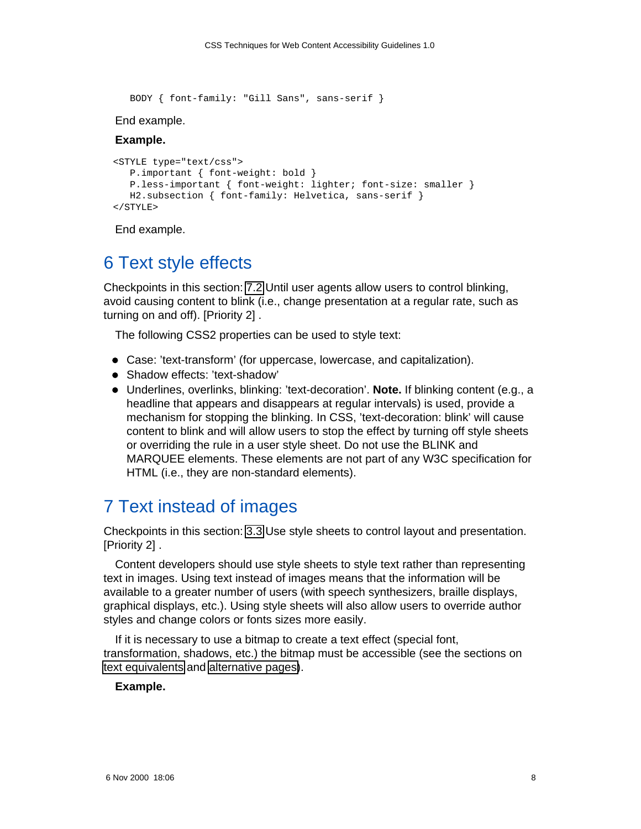BODY { font-family: "Gill Sans", sans-serif }

End example.

#### **Example.**

```
<STYLE type="text/css">
   P.important { font-weight: bold }
    P.less-important { font-weight: lighter; font-size: smaller }
   H2.subsection { font-family: Helvetica, sans-serif }
</STYLE>
```
End example.

## <span id="page-7-1"></span>6 Text style effects

Checkpoints in this section: [7.2](http://www.w3.org/TR/WCAG10-TECHS/#tech-avoid-blinking) Until user agents allow users to control blinking, avoid causing content to blink (i.e., change presentation at a regular rate, such as turning on and off). [Priority 2] .

The following CSS2 properties can be used to style text:

- Case: 'text-transform' (for uppercase, lowercase, and capitalization).
- Shadow effects: 'text-shadow'
- Underlines, overlinks, blinking: 'text-decoration'. **Note.** If blinking content (e.g., a headline that appears and disappears at regular intervals) is used, provide a mechanism for stopping the blinking. In CSS, 'text-decoration: blink' will cause content to blink and will allow users to stop the effect by turning off style sheets or overriding the rule in a user style sheet. Do not use the BLINK and MARQUEE elements. These elements are not part of any W3C specification for HTML (i.e., they are non-standard elements).

### <span id="page-7-0"></span>7 Text instead of images

Checkpoints in this section: [3.3](http://www.w3.org/TR/WCAG10-TECHS/#tech-style-sheets) Use style sheets to control layout and presentation. [Priority 2] .

Content developers should use style sheets to style text rather than representing text in images. Using text instead of images means that the information will be available to a greater number of users (with speech synthesizers, braille displays, graphical displays, etc.). Using style sheets will also allow users to override author styles and change colors or fonts sizes more easily.

If it is necessary to use a bitmap to create a text effect (special font, transformation, shadows, etc.) the bitmap must be accessible (see the sections on [text equivalents](http://www.w3.org/TR/WCAG10-TECHS/#def-text-equivalent) and [alternative pages\)](http://www.w3.org/TR/WCAG10-TECHS/#alt-page-note).

#### **Example.**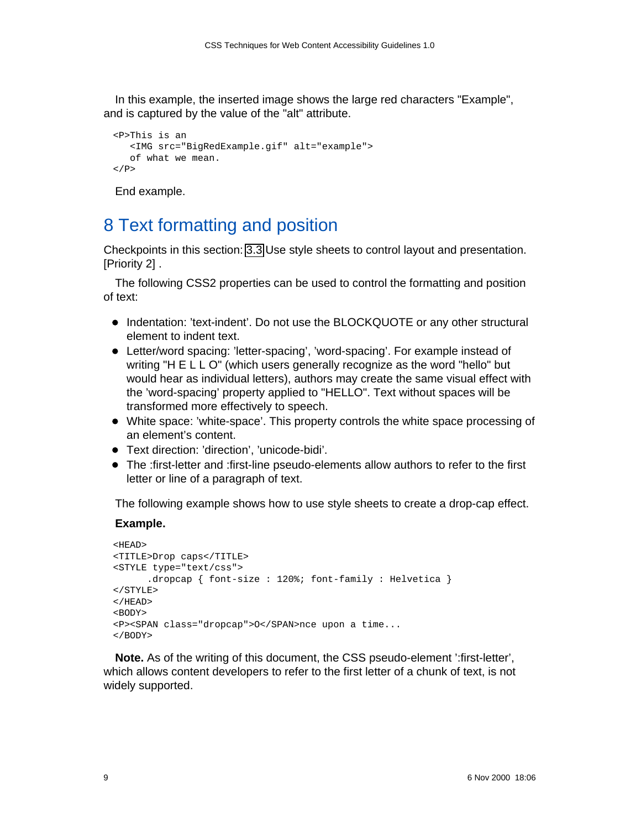In this example, the inserted image shows the large red characters "Example", and is captured by the value of the "alt" attribute.

```
<P>This is an 
    <IMG src="BigRedExample.gif" alt="example"> 
    of what we mean.
\langle/P>
```
End example.

# <span id="page-8-0"></span>8 Text formatting and position

Checkpoints in this section: [3.3](http://www.w3.org/TR/WCAG10-TECHS/#tech-style-sheets) Use style sheets to control layout and presentation. [Priority 2] .

The following CSS2 properties can be used to control the formatting and position of text:

- Indentation: 'text-indent'. Do not use the BLOCKQUOTE or any other structural element to indent text.
- Letter/word spacing: 'letter-spacing', 'word-spacing'. For example instead of writing "H E L L O" (which users generally recognize as the word "hello" but would hear as individual letters), authors may create the same visual effect with the 'word-spacing' property applied to "HELLO". Text without spaces will be transformed more effectively to speech.
- White space: 'white-space'. This property controls the white space processing of an element's content.
- Text direction: 'direction', 'unicode-bidi'.
- The :first-letter and :first-line pseudo-elements allow authors to refer to the first letter or line of a paragraph of text.

The following example shows how to use style sheets to create a drop-cap effect.

#### **Example.**

```
<HEAD>
<TITLE>Drop caps</TITLE>
<STYLE type="text/css">
      .dropcap { font-size : 120%; font-family : Helvetica } 
</STYLE>
</HEAD>
<BODY>
<P><SPAN class="dropcap">O</SPAN>nce upon a time...
</BODY>
```
**Note.** As of the writing of this document, the CSS pseudo-element ':first-letter', which allows content developers to refer to the first letter of a chunk of text, is not widely supported.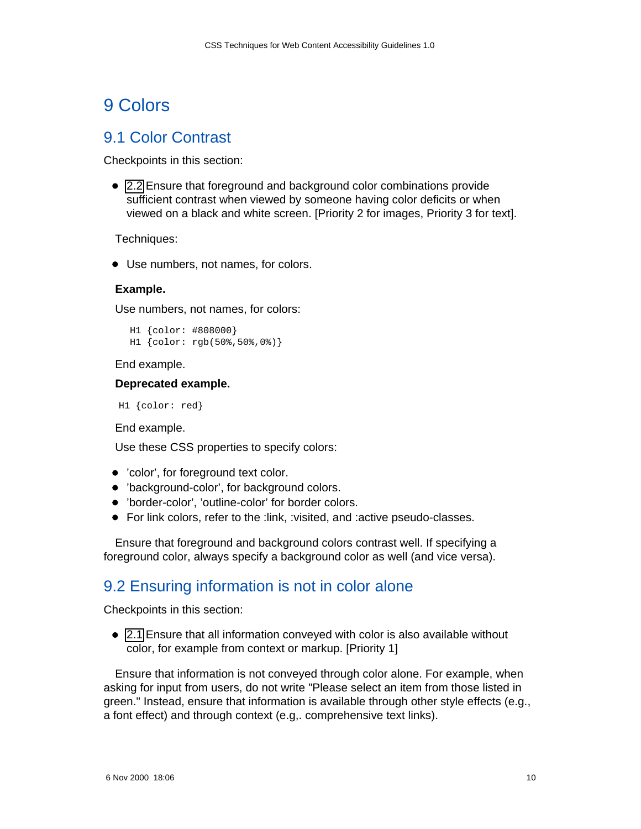### <span id="page-9-2"></span>9 Colors

### <span id="page-9-1"></span>9.1 Color Contrast

Checkpoints in this section:

● [2.2](http://www.w3.org/TR/WCAG10-TECHS/#tech-color-contrast) Ensure that foreground and background color combinations provide sufficient contrast when viewed by someone having color deficits or when viewed on a black and white screen. [Priority 2 for images, Priority 3 for text].

Techniques:

Use numbers, not names, for colors.

#### **Example.**

Use numbers, not names, for colors:

```
 H1 {color: #808000}
 H1 {color: rgb(50%,50%,0%)}
```
End example.

#### **Deprecated example.**

H1 {color: red}

End example.

Use these CSS properties to specify colors:

- 'color', for foreground text color.
- 'background-color', for background colors.
- 'border-color', 'outline-color' for border colors.
- For link colors, refer to the :link, :visited, and :active pseudo-classes.

Ensure that foreground and background colors contrast well. If specifying a foreground color, always specify a background color as well (and vice versa).

### <span id="page-9-0"></span>9.2 Ensuring information is not in color alone

Checkpoints in this section:

[2.1](http://www.w3.org/TR/WCAG10-TECHS/#tech-color-convey) Ensure that all information conveyed with color is also available without color, for example from context or markup. [Priority 1]

Ensure that information is not conveyed through color alone. For example, when asking for input from users, do not write "Please select an item from those listed in green." Instead, ensure that information is available through other style effects (e.g., a font effect) and through context (e.g,. comprehensive text links).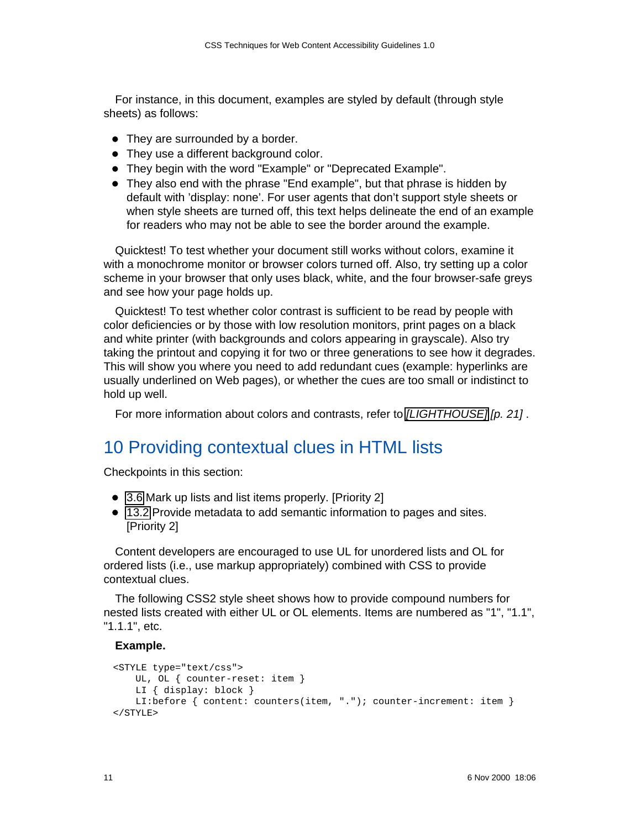For instance, in this document, examples are styled by default (through style sheets) as follows:

- They are surrounded by a border.
- They use a different background color.
- They begin with the word "Example" or "Deprecated Example".
- They also end with the phrase "End example", but that phrase is hidden by default with 'display: none'. For user agents that don't support style sheets or when style sheets are turned off, this text helps delineate the end of an example for readers who may not be able to see the border around the example.

Quicktest! To test whether your document still works without colors, examine it with a monochrome monitor or browser colors turned off. Also, try setting up a color scheme in your browser that only uses black, white, and the four browser-safe greys and see how your page holds up.

Quicktest! To test whether color contrast is sufficient to be read by people with color deficiencies or by those with low resolution monitors, print pages on a black and white printer (with backgrounds and colors appearing in grayscale). Also try taking the printout and copying it for two or three generations to see how it degrades. This will show you where you need to add redundant cues (example: hyperlinks are usually underlined on Web pages), or whether the cues are too small or indistinct to hold up well.

For more information about colors and contrasts, refer to [\[LIGHTHOUSE\]](#page-20-8) [p. 21].

## <span id="page-10-0"></span>10 Providing contextual clues in HTML lists

Checkpoints in this section:

- [3.6](http://www.w3.org/TR/WCAG10-TECHS/#tech-list-structure) Mark up lists and list items properly. [Priority 2]
- [13.2](http://www.w3.org/TR/WCAG10-TECHS/#tech-use-metadata) Provide metadata to add semantic information to pages and sites. [Priority 2]

Content developers are encouraged to use UL for unordered lists and OL for ordered lists (i.e., use markup appropriately) combined with CSS to provide contextual clues.

The following CSS2 style sheet shows how to provide compound numbers for nested lists created with either UL or OL elements. Items are numbered as "1", "1.1", "1.1.1", etc.

#### **Example.**

```
<STYLE type="text/css">
    UL, OL { counter-reset: item }
    LI { display: block }
   LI:before { content: counters(item, "."); counter-increment: item }
</STYLE>
```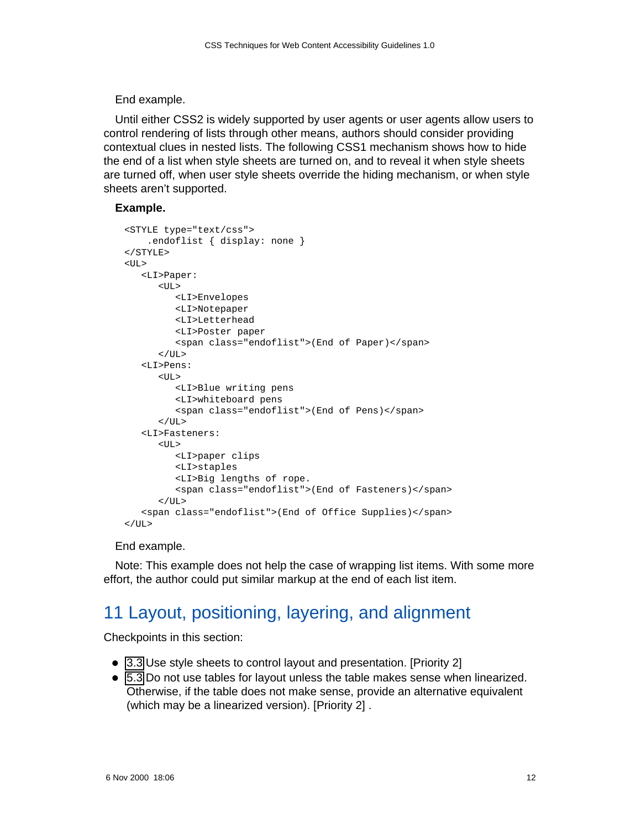End example.

Until either CSS2 is widely supported by user agents or user agents allow users to control rendering of lists through other means, authors should consider providing contextual clues in nested lists. The following CSS1 mechanism shows how to hide the end of a list when style sheets are turned on, and to reveal it when style sheets are turned off, when user style sheets override the hiding mechanism, or when style sheets aren't supported.

#### **Example.**

```
 <STYLE type="text/css">
     .endoflist { display: none }
 </STYLE>
<UL> <LI>Paper:
       <UL>
          <LI>Envelopes
          <LI>Notepaper
          <LI>Letterhead
          <LI>Poster paper 
          <span class="endoflist">(End of Paper)</span>
      \langle/UL>
    <LI>Pens:
      <UL>
          <LI>Blue writing pens
          <LI>whiteboard pens 
          <span class="endoflist">(End of Pens)</span>
      \langle /UL>
    <LI>Fasteners:
      <UL> <LI>paper clips
          <LI>staples
          <LI>Big lengths of rope. 
          <span class="endoflist">(End of Fasteners)</span>
      </UL> <span class="endoflist">(End of Office Supplies)</span>
\langle /ULS
```
#### End example.

Note: This example does not help the case of wrapping list items. With some more effort, the author could put similar markup at the end of each list item.

## <span id="page-11-0"></span>11 Layout, positioning, layering, and alignment

Checkpoints in this section:

- [3.3](http://www.w3.org/TR/WCAG10-TECHS/#tech-style-sheets) Use style sheets to control layout and presentation. [Priority 2]
- [5.3](http://www.w3.org/TR/WCAG10-TECHS/#tech-avoid-table-for-layout) Do not use tables for layout unless the table makes sense when linearized. Otherwise, if the table does not make sense, provide an alternative equivalent (which may be a linearized version). [Priority 2] .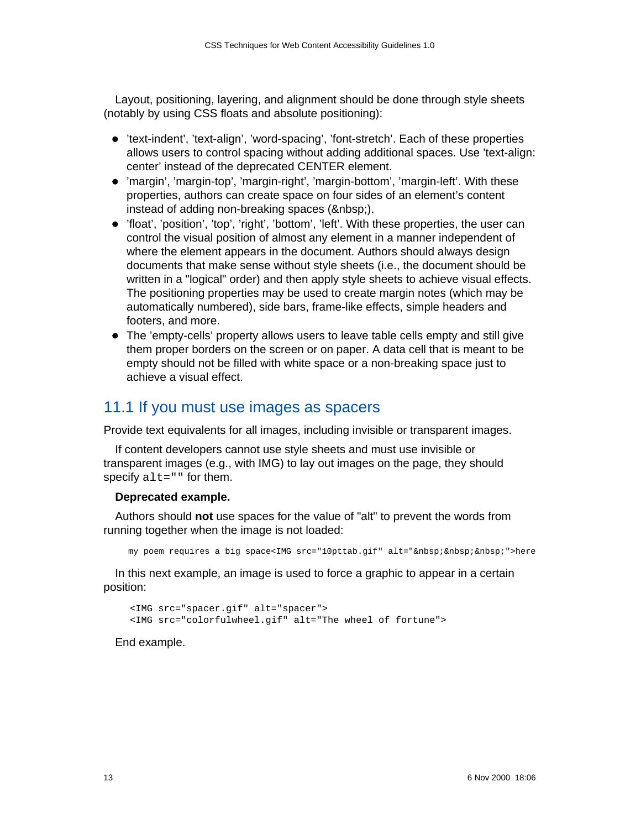Layout, positioning, layering, and alignment should be done through style sheets (notably by using CSS floats and absolute positioning):

- 'text-indent', 'text-align', 'word-spacing', 'font-stretch'. Each of these properties allows users to control spacing without adding additional spaces. Use 'text-align: center' instead of the deprecated CENTER element.
- 'margin', 'margin-top', 'margin-right', 'margin-bottom', 'margin-left'. With these properties, authors can create space on four sides of an element's content instead of adding non-breaking spaces (&nbsp:).
- 'float', 'position', 'top', 'right', 'bottom', 'left'. With these properties, the user can control the visual position of almost any element in a manner independent of where the element appears in the document. Authors should always design documents that make sense without style sheets (i.e., the document should be written in a "logical" order) and then apply style sheets to achieve visual effects. The positioning properties may be used to create margin notes (which may be automatically numbered), side bars, frame-like effects, simple headers and footers, and more.
- The 'empty-cells' property allows users to leave table cells empty and still give them proper borders on the screen or on paper. A data cell that is meant to be empty should not be filled with white space or a non-breaking space just to achieve a visual effect.

### <span id="page-12-0"></span>11.1 If you must use images as spacers

Provide text equivalents for all images, including invisible or transparent images.

If content developers cannot use style sheets and must use invisible or transparent images (e.g., with IMG) to lay out images on the page, they should specify  $alt="math>" for them.$ 

#### **Deprecated example.**

Authors should **not** use spaces for the value of "alt" to prevent the words from running together when the image is not loaded:

my poem requires a big space<IMG src="10pttab.gif" alt="&nbsp; &nbsp; &nbsp; ">here

In this next example, an image is used to force a graphic to appear in a certain position:

```
 <IMG src="spacer.gif" alt="spacer">
 <IMG src="colorfulwheel.gif" alt="The wheel of fortune">
```
End example.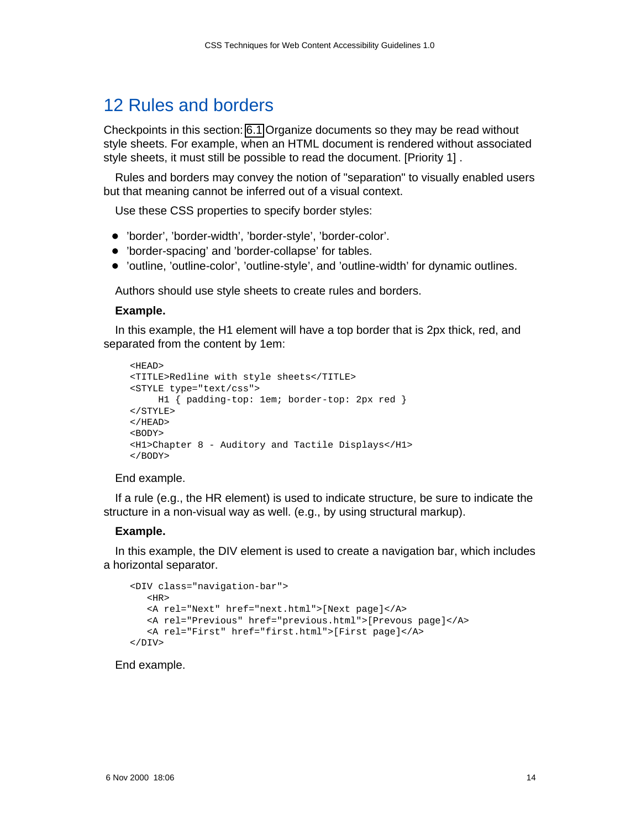## <span id="page-13-0"></span>12 Rules and borders

Checkpoints in this section: [6.1](http://www.w3.org/TR/WCAG10-TECHS/#tech-order-style-sheets) Organize documents so they may be read without style sheets. For example, when an HTML document is rendered without associated style sheets, it must still be possible to read the document. [Priority 1] .

Rules and borders may convey the notion of "separation" to visually enabled users but that meaning cannot be inferred out of a visual context.

Use these CSS properties to specify border styles:

- 'border', 'border-width', 'border-style', 'border-color'.
- 'border-spacing' and 'border-collapse' for tables.
- 'outline, 'outline-color', 'outline-style', and 'outline-width' for dynamic outlines.

Authors should use style sheets to create rules and borders.

#### **Example.**

In this example, the H1 element will have a top border that is 2px thick, red, and separated from the content by 1em:

```
 <HEAD>
 <TITLE>Redline with style sheets</TITLE>
 <STYLE type="text/css">
     H1 { padding-top: 1em; border-top: 2px red }
 </STYLE>
</HEAD> <BODY>
 <H1>Chapter 8 - Auditory and Tactile Displays</H1>
 </BODY>
```
#### End example.

If a rule (e.g., the HR element) is used to indicate structure, be sure to indicate the structure in a non-visual way as well. (e.g., by using structural markup).

#### **Example.**

In this example, the DIV element is used to create a navigation bar, which includes a horizontal separator.

```
 <DIV class="navigation-bar">
  <HR> <A rel="Next" href="next.html">[Next page]</A>
    <A rel="Previous" href="previous.html">[Prevous page]</A>
    <A rel="First" href="first.html">[First page]</A>
</DIV>
```
End example.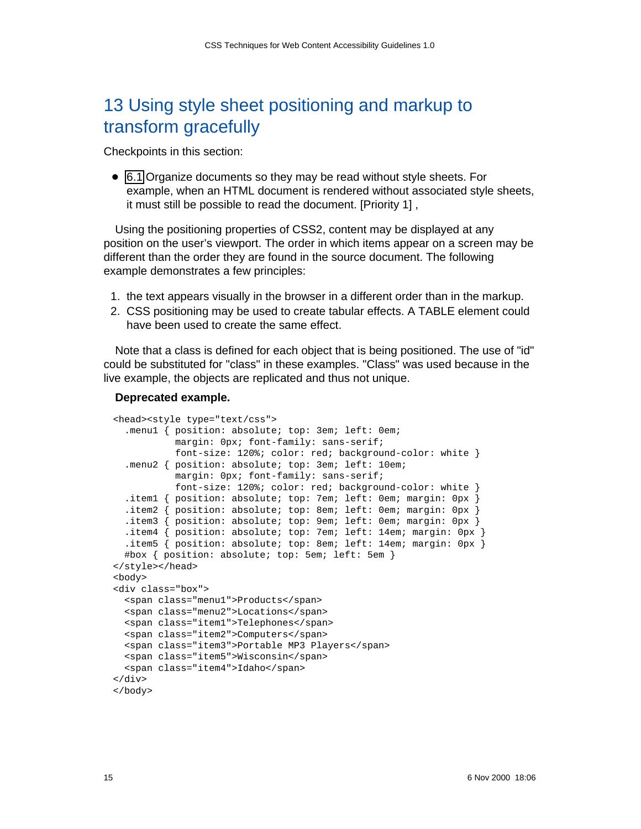# <span id="page-14-0"></span>13 Using style sheet positioning and markup to transform gracefully

Checkpoints in this section:

[6.1](http://www.w3.org/TR/WCAG10-TECHS/#tech-order-style-sheets) Organize documents so they may be read without style sheets. For example, when an HTML document is rendered without associated style sheets, it must still be possible to read the document. [Priority 1] ,

Using the positioning properties of CSS2, content may be displayed at any position on the user's viewport. The order in which items appear on a screen may be different than the order they are found in the source document. The following example demonstrates a few principles:

- 1. the text appears visually in the browser in a different order than in the markup.
- 2. CSS positioning may be used to create tabular effects. A TABLE element could have been used to create the same effect.

Note that a class is defined for each object that is being positioned. The use of "id" could be substituted for "class" in these examples. "Class" was used because in the live example, the objects are replicated and thus not unique.

#### **Deprecated example.**

```
<head><style type="text/css">
   .menu1 { position: absolute; top: 3em; left: 0em; 
            margin: 0px; font-family: sans-serif; 
            font-size: 120%; color: red; background-color: white } 
   .menu2 { position: absolute; top: 3em; left: 10em; 
            margin: 0px; font-family: sans-serif; 
           font-size: 120%; color: red; background-color: white }
   .item1 { position: absolute; top: 7em; left: 0em; margin: 0px }
   .item2 { position: absolute; top: 8em; left: 0em; margin: 0px }
   .item3 { position: absolute; top: 9em; left: 0em; margin: 0px }
   .item4 { position: absolute; top: 7em; left: 14em; margin: 0px }
   .item5 { position: absolute; top: 8em; left: 14em; margin: 0px }
   #box { position: absolute; top: 5em; left: 5em } 
</style></head>
<body>
<div class="box">
   <span class="menu1">Products</span> 
   <span class="menu2">Locations</span> 
   <span class="item1">Telephones</span> 
   <span class="item2">Computers</span> 
   <span class="item3">Portable MP3 Players</span> 
   <span class="item5">Wisconsin</span> 
   <span class="item4">Idaho</span>
</div>
</body>
```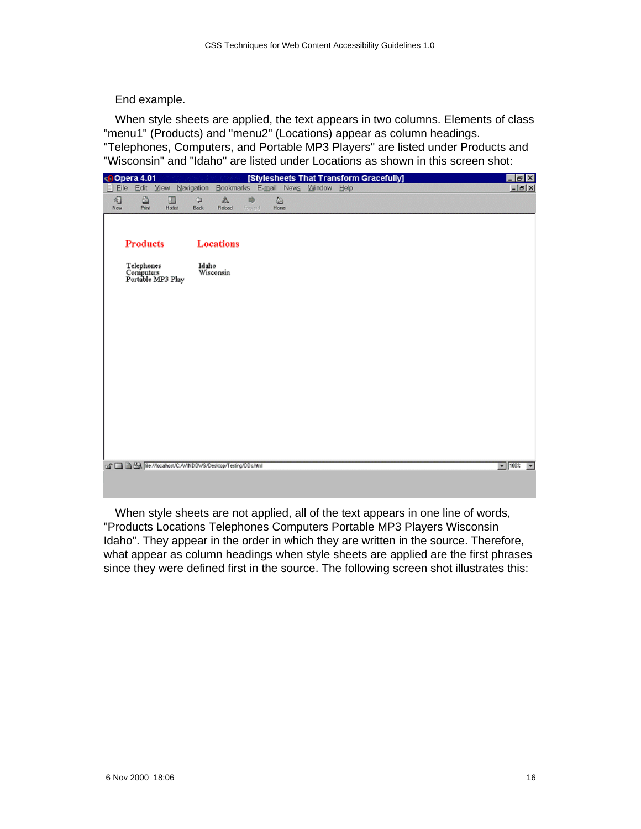End example.

When style sheets are applied, the text appears in two columns. Elements of class "menu1" (Products) and "menu2" (Locations) appear as column headings. "Telephones, Computers, and Portable MP3 Players" are listed under Products and "Wisconsin" and "Idaho" are listed under Locations as shown in this screen shot:

| $\Box$ Eile | $0$ Opera 4.01  | Edit View                                                   | Navigation                       |              |              | [Stylesheets That Transform Gracefully]<br>Bookmarks E-mail News Window Help |  |  |  | $ B$ $X$<br>$-10x$                       |
|-------------|-----------------|-------------------------------------------------------------|----------------------------------|--------------|--------------|------------------------------------------------------------------------------|--|--|--|------------------------------------------|
| 幻<br>New    | 酉<br>Park       | $\blacksquare$<br>Hotkit                                    | $\Leftrightarrow$<br><b>Back</b> | â.<br>Reload | 吟<br>Forward | Ø<br>Home                                                                    |  |  |  |                                          |
|             |                 |                                                             |                                  |              |              |                                                                              |  |  |  |                                          |
|             | <b>Products</b> |                                                             |                                  | Locations    |              |                                                                              |  |  |  |                                          |
|             |                 | Telephones<br>Computers<br>Portable MP3 Play                | Idaho<br>Wisconsin               |              |              |                                                                              |  |  |  |                                          |
|             |                 |                                                             |                                  |              |              |                                                                              |  |  |  |                                          |
|             |                 |                                                             |                                  |              |              |                                                                              |  |  |  |                                          |
|             |                 |                                                             |                                  |              |              |                                                                              |  |  |  |                                          |
|             |                 |                                                             |                                  |              |              |                                                                              |  |  |  |                                          |
|             |                 |                                                             |                                  |              |              |                                                                              |  |  |  |                                          |
|             |                 |                                                             |                                  |              |              |                                                                              |  |  |  |                                          |
|             |                 |                                                             |                                  |              |              |                                                                              |  |  |  |                                          |
|             |                 |                                                             |                                  |              |              |                                                                              |  |  |  |                                          |
|             |                 | C C C B (Re://localhost/C:/wINDOWS/Desktop/Testing/DDs.html |                                  |              |              |                                                                              |  |  |  | $\frac{1}{2}$ 100k<br>$\vert \tau \vert$ |
|             |                 |                                                             |                                  |              |              |                                                                              |  |  |  |                                          |

When style sheets are not applied, all of the text appears in one line of words, "Products Locations Telephones Computers Portable MP3 Players Wisconsin Idaho". They appear in the order in which they are written in the source. Therefore, what appear as column headings when style sheets are applied are the first phrases since they were defined first in the source. The following screen shot illustrates this: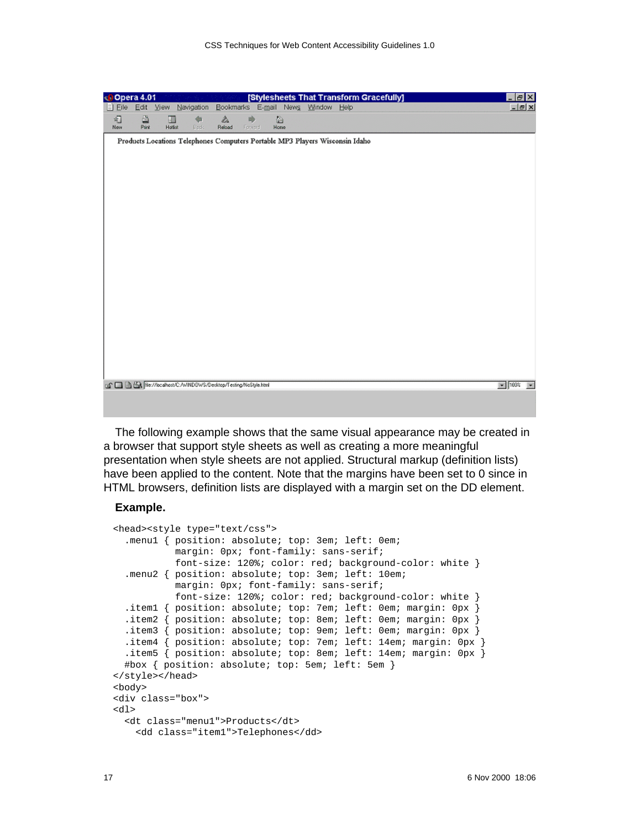| $Q$ Opera 4.01 |           |                                                              |            |             |              |           | [Stylesheets That Transform Gracefully]                                      | $ B$ $X$                                       |
|----------------|-----------|--------------------------------------------------------------|------------|-------------|--------------|-----------|------------------------------------------------------------------------------|------------------------------------------------|
| Eile<br>ш      |           | Edit View Navigation                                         |            |             |              |           | Bookmarks E-mail News Window Help                                            | $-10x$                                         |
| 汨<br>New       | ā<br>Park | o<br><b>Hotket</b>                                           | 弹<br>Book. | â<br>Reload | 睁<br>Forward | 谥<br>Home |                                                                              |                                                |
|                |           |                                                              |            |             |              |           | Products Locations Telephones Computers Portable MP3 Players Wisconsin Idaho |                                                |
|                |           |                                                              |            |             |              |           |                                                                              |                                                |
|                |           |                                                              |            |             |              |           |                                                                              |                                                |
|                |           |                                                              |            |             |              |           |                                                                              |                                                |
|                |           |                                                              |            |             |              |           |                                                                              |                                                |
|                |           |                                                              |            |             |              |           |                                                                              |                                                |
|                |           |                                                              |            |             |              |           |                                                                              |                                                |
|                |           |                                                              |            |             |              |           |                                                                              |                                                |
|                |           |                                                              |            |             |              |           |                                                                              |                                                |
|                |           |                                                              |            |             |              |           |                                                                              |                                                |
|                |           |                                                              |            |             |              |           |                                                                              |                                                |
|                |           |                                                              |            |             |              |           |                                                                              |                                                |
|                |           |                                                              |            |             |              |           |                                                                              |                                                |
|                |           |                                                              |            |             |              |           |                                                                              |                                                |
|                |           |                                                              |            |             |              |           |                                                                              |                                                |
|                |           |                                                              |            |             |              |           |                                                                              |                                                |
|                |           |                                                              |            |             |              |           |                                                                              |                                                |
|                |           |                                                              |            |             |              |           |                                                                              |                                                |
|                |           |                                                              |            |             |              |           |                                                                              |                                                |
|                |           | T C B (Re://localhost/C./MNDDWS/Desktop/Testing/NoStyle.html |            |             |              |           |                                                                              | $\frac{1}{2}$ 100k<br>$\vert \mathbf{r} \vert$ |
|                |           |                                                              |            |             |              |           |                                                                              |                                                |
|                |           |                                                              |            |             |              |           |                                                                              |                                                |

The following example shows that the same visual appearance may be created in a browser that support style sheets as well as creating a more meaningful presentation when style sheets are not applied. Structural markup (definition lists) have been applied to the content. Note that the margins have been set to 0 since in HTML browsers, definition lists are displayed with a margin set on the DD element.

#### **Example.**

```
<head><style type="text/css">
   .menu1 { position: absolute; top: 3em; left: 0em; 
            margin: 0px; font-family: sans-serif; 
            font-size: 120%; color: red; background-color: white } 
   .menu2 { position: absolute; top: 3em; left: 10em; 
            margin: 0px; font-family: sans-serif; 
           font-size: 120%; color: red; background-color: white }
   .item1 { position: absolute; top: 7em; left: 0em; margin: 0px }
  .item2 { position: absolute; top: 8em; left: 0em; margin: 0px
   .item3 { position: absolute; top: 9em; left: 0em; margin: 0px }
   .item4 { position: absolute; top: 7em; left: 14em; margin: 0px }
   .item5 { position: absolute; top: 8em; left: 14em; margin: 0px }
   #box { position: absolute; top: 5em; left: 5em } 
</style></head>
<body>
<div class="box">
<dl>
   <dt class="menu1">Products</dt>
     <dd class="item1">Telephones</dd>
```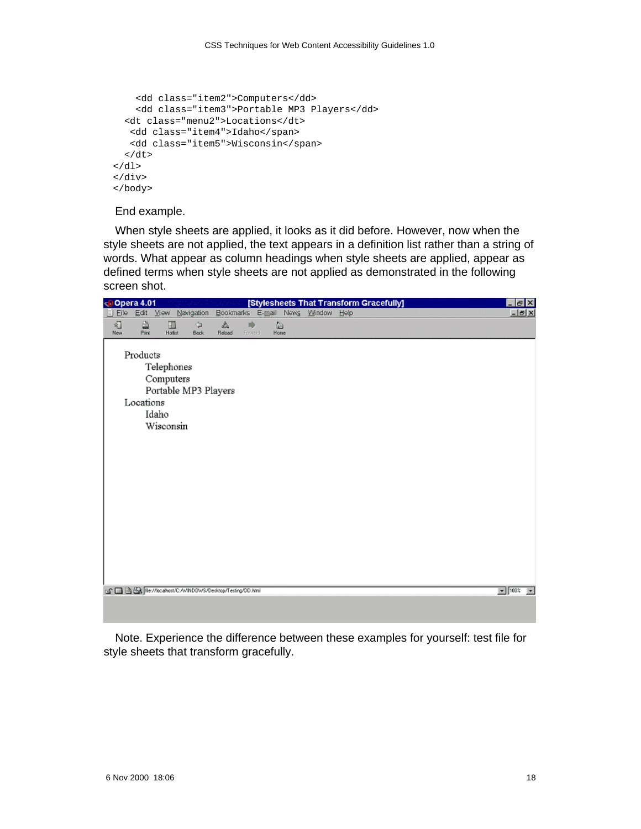```
 <dd class="item2">Computers</dd>
     <dd class="item3">Portable MP3 Players</dd>
   <dt class="menu2">Locations</dt>
    <dd class="item4">Idaho</span>
    <dd class="item5">Wisconsin</span>
  \langle dt>
\langledl>
</div>
</body>
```
End example.

When style sheets are applied, it looks as it did before. However, now when the style sheets are not applied, the text appears in a definition list rather than a string of words. What appear as column headings when style sheets are applied, appear as defined terms when style sheets are not applied as demonstrated in the following screen shot.



Note. Experience the difference between these examples for yourself: test file for style sheets that transform gracefully.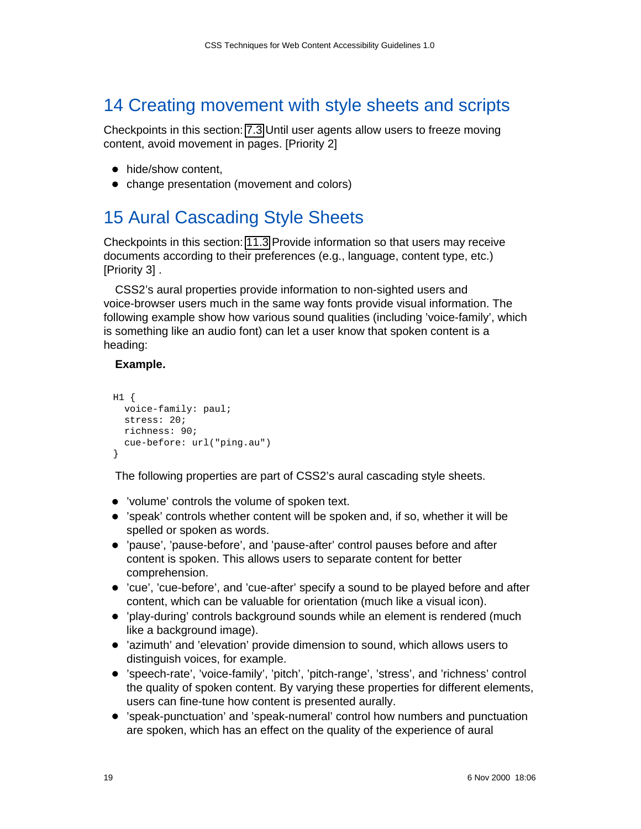# <span id="page-18-1"></span>14 Creating movement with style sheets and scripts

Checkpoints in this section: [7.3](http://www.w3.org/TR/WCAG10-TECHS/#tech-avoid-movement) Until user agents allow users to freeze moving content, avoid movement in pages. [Priority 2]

- hide/show content,
- change presentation (movement and colors)

# <span id="page-18-0"></span>15 Aural Cascading Style Sheets

Checkpoints in this section: [11.3](http://www.w3.org/TR/WCAG10-TECHS/#tech-content-preferences) Provide information so that users may receive documents according to their preferences (e.g., language, content type, etc.) [Priority 3] .

CSS2's aural properties provide information to non-sighted users and voice-browser users much in the same way fonts provide visual information. The following example show how various sound qualities (including 'voice-family', which is something like an audio font) can let a user know that spoken content is a heading:

### **Example.**

```
H1 {
   voice-family: paul; 
   stress: 20; 
   richness: 90; 
   cue-before: url("ping.au") 
}
```
The following properties are part of CSS2's aural cascading style sheets.

- 'volume' controls the volume of spoken text.
- 'speak' controls whether content will be spoken and, if so, whether it will be spelled or spoken as words.
- 'pause', 'pause-before', and 'pause-after' control pauses before and after content is spoken. This allows users to separate content for better comprehension.
- 'cue', 'cue-before', and 'cue-after' specify a sound to be played before and after content, which can be valuable for orientation (much like a visual icon).
- 'play-during' controls background sounds while an element is rendered (much like a background image).
- 'azimuth' and 'elevation' provide dimension to sound, which allows users to distinguish voices, for example.
- 'speech-rate', 'voice-family', 'pitch', 'pitch-range', 'stress', and 'richness' control the quality of spoken content. By varying these properties for different elements, users can fine-tune how content is presented aurally.
- 'speak-punctuation' and 'speak-numeral' control how numbers and punctuation are spoken, which has an effect on the quality of the experience of aural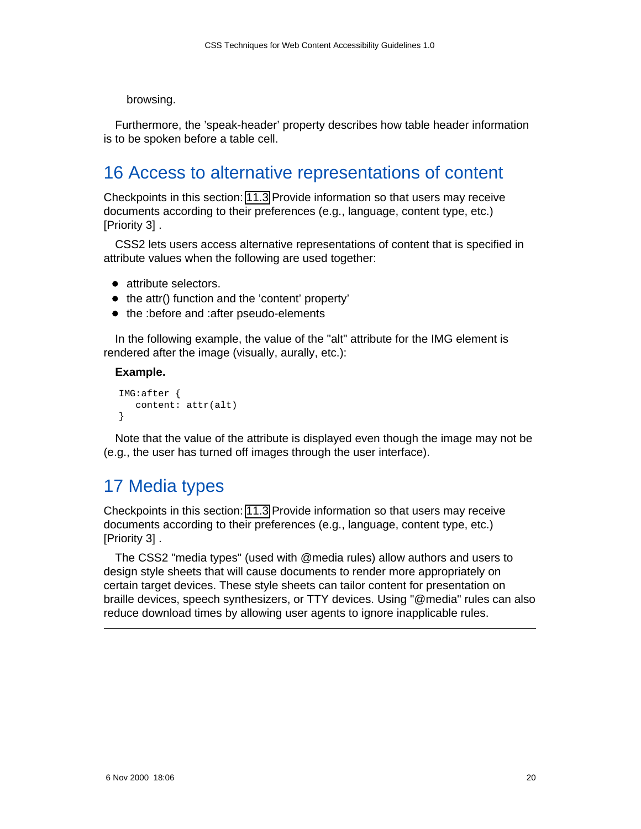browsing.

Furthermore, the 'speak-header' property describes how table header information is to be spoken before a table cell.

## <span id="page-19-1"></span>16 Access to alternative representations of content

Checkpoints in this section: [11.3](http://www.w3.org/TR/WCAG10-TECHS/#tech-content-preferences) Provide information so that users may receive documents according to their preferences (e.g., language, content type, etc.) [Priority 3] .

CSS2 lets users access alternative representations of content that is specified in attribute values when the following are used together:

- attribute selectors.
- the attr() function and the 'content' property'
- the :before and :after pseudo-elements

In the following example, the value of the "alt" attribute for the IMG element is rendered after the image (visually, aurally, etc.):

#### **Example.**

```
 IMG:after { 
    content: attr(alt) 
 }
```
Note that the value of the attribute is displayed even though the image may not be (e.g., the user has turned off images through the user interface).

### <span id="page-19-0"></span>17 Media types

Checkpoints in this section: [11.3](http://www.w3.org/TR/WCAG10-TECHS/#tech-content-preferences) Provide information so that users may receive documents according to their preferences (e.g., language, content type, etc.) [Priority 3] .

The CSS2 "media types" (used with @media rules) allow authors and users to design style sheets that will cause documents to render more appropriately on certain target devices. These style sheets can tailor content for presentation on braille devices, speech synthesizers, or TTY devices. Using "@media" rules can also reduce download times by allowing user agents to ignore inapplicable rules.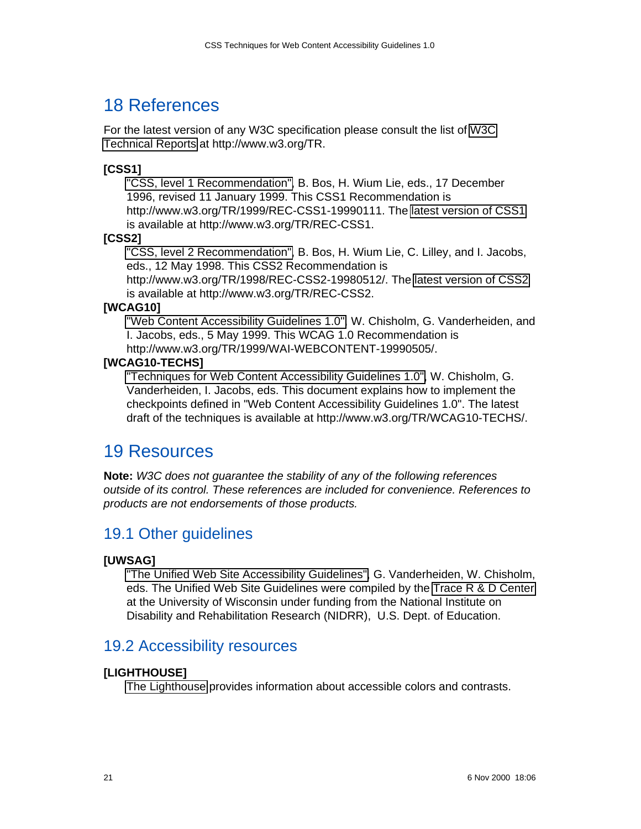## <span id="page-20-7"></span>18 References

For the latest version of any W3C specification please consult the list of [W3C](http://www.w3.org/TR/) [Technical Reports](http://www.w3.org/TR/) at http://www.w3.org/TR.

### <span id="page-20-3"></span>**[CSS1]**

["CSS, level 1 Recommendation",](http://www.w3.org/TR/1999/REC-CSS1-19990111) B. Bos, H. Wium Lie, eds., 17 December 1996, revised 11 January 1999. This CSS1 Recommendation is http://www.w3.org/TR/1999/REC-CSS1-19990111. The [latest version of CSS1](http://www.w3.org/TR/REC-CSS1) is available at http://www.w3.org/TR/REC-CSS1.

### <span id="page-20-2"></span>**[CSS2]**

["CSS, level 2 Recommendation",](http://www.w3.org/TR/1998/REC-CSS2-19980512/) B. Bos, H. Wium Lie, C. Lilley, and I. Jacobs, eds., 12 May 1998. This CSS2 Recommendation is

http://www.w3.org/TR/1998/REC-CSS2-19980512/. The [latest version of CSS2](http://www.w3.org/TR/REC-CSS2/) is available at http://www.w3.org/TR/REC-CSS2.

### <span id="page-20-1"></span>**[WCAG10]**

["Web Content Accessibility Guidelines 1.0",](http://www.w3.org/TR/1999/WAI-WEBCONTENT-19990505/) W. Chisholm, G. Vanderheiden, and I. Jacobs, eds., 5 May 1999. This WCAG 1.0 Recommendation is http://www.w3.org/TR/1999/WAI-WEBCONTENT-19990505/.

### <span id="page-20-0"></span>**[WCAG10-TECHS]**

["Techniques for Web Content Accessibility Guidelines 1.0",](http://www.w3.org/TR/WCAG10-TECHS/) W. Chisholm, G. Vanderheiden, I. Jacobs, eds. This document explains how to implement the checkpoints defined in "Web Content Accessibility Guidelines 1.0". The latest draft of the techniques is available at http://www.w3.org/TR/WCAG10-TECHS/.

### <span id="page-20-6"></span>19 Resources

**Note:** W3C does not guarantee the stability of any of the following references outside of its control. These references are included for convenience. References to products are not endorsements of those products.

### <span id="page-20-5"></span>19.1 Other guidelines

### **[UWSAG]**

["The Unified Web Site Accessibility Guidelines",](http://trace.wisc.edu/redirects/htmlgide/version8.htm) G. Vanderheiden, W. Chisholm, eds. The Unified Web Site Guidelines were compiled by the [Trace R & D Center](http://www.tracecenter.org/) at the University of Wisconsin under funding from the National Institute on Disability and Rehabilitation Research (NIDRR), U.S. Dept. of Education.

### <span id="page-20-4"></span>19.2 Accessibility resources

### <span id="page-20-8"></span>**[LIGHTHOUSE]**

[The Lighthouse](http://www.lighthouse.org/) provides information about accessible colors and contrasts.